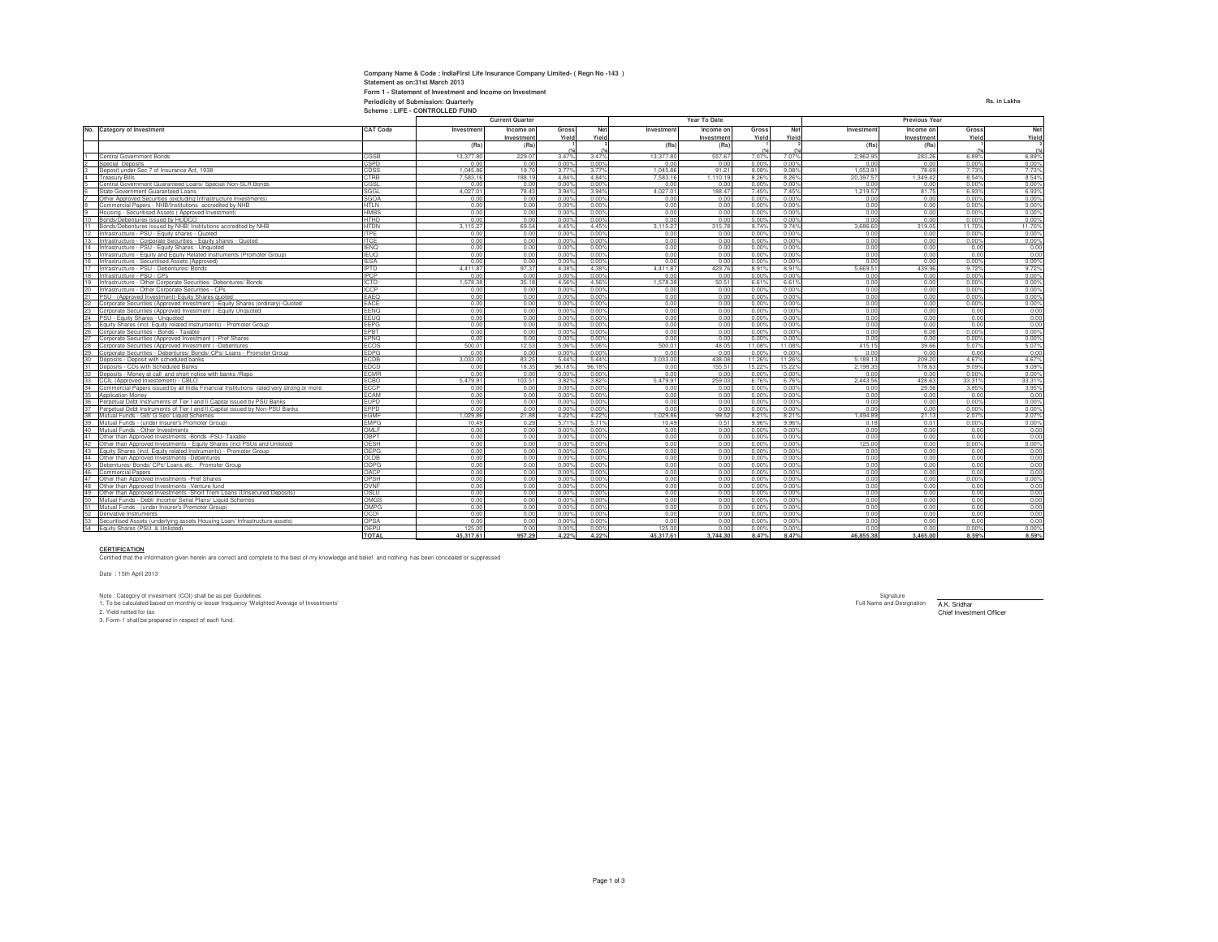| Company Name & Code: IndiaFirst Life Insurance Company Limited- (Regn No -143) |              |
|--------------------------------------------------------------------------------|--------------|
| Statement as on:31st March 2013                                                |              |
| Form 1 - Statement of Investment and Income on Investment                      |              |
| Periodicity of Submission: Quarterly                                           | Rs. in Lakhs |
| Scheme: LIFE - CONTROLLED FUND                                                 |              |

|                 |                                                                                                                                               |                     | <b>Current Quarter</b> |              |                         |                |              | Year To Date |                |                         | <b>Previous Year</b> |              |               |               |  |
|-----------------|-----------------------------------------------------------------------------------------------------------------------------------------------|---------------------|------------------------|--------------|-------------------------|----------------|--------------|--------------|----------------|-------------------------|----------------------|--------------|---------------|---------------|--|
| No.             | <b>Category of Investment</b>                                                                                                                 | <b>CAT Code</b>     | Investment             | Income on    | Gross                   | Net            | Investment   | Income on    | Gross          | Net                     | Investment           | Income on    | Gross         | Net           |  |
|                 |                                                                                                                                               |                     |                        | Investment   | Yield                   | Yield          |              | Investment   | Yield          | Yield                   |                      | Investment   | Yield         | Yield         |  |
|                 |                                                                                                                                               |                     | (Rs)                   | (Rs)         |                         |                | (Rs)         | (Rs)         |                |                         | (Rs)                 | (Rs)         |               |               |  |
|                 | Central Government Bonds                                                                                                                      | CGSB                | 13,377.80              | 229.07       | 3.47%                   | 3.47%          | 13,377.80    | 557.67       | 7.07%          | 7.07%                   | 2.962.95             | 283.26       | 6.89%         | 6.89%         |  |
|                 | Special Deposits                                                                                                                              | CSPD                | 0.0                    | 0.00         | 0.00%                   | 0.00%          | 0.00         | 0.00         | 0.00%          | 0.00%                   | 0.00                 | 0.00         | 0.00%         | 0.00%         |  |
|                 | Deposit under Sec 7 of Insurance Act. 1938                                                                                                    | CDSS                | 1.045.86               | 19.70        | 3.77%                   | 3.77%          | 1.045.8      | 91.21        | 9.08%          | 9.08%                   | 1.053.91             | 78.69        | 7.73%         | 7.73%         |  |
|                 | <b>Treasury Bills</b>                                                                                                                         | CTRB                | 758316                 | 188.19       | 4849                    | 484%           | 7 583 16     | 1.110.19     | 8.26%          | 8.269                   | 20.397.57            | 1.349.42     | 8.54%         | 8.54%         |  |
|                 | Central Government Guaranteed Loans/ Special/ Non-SLR Bonds                                                                                   | CGSL                | 0.0                    | 0.00         | 0.00%                   | 0.00%          | 0.00         | 0.00         | 0.00%          | 0.005                   | 0.00                 | 0.00         | 0.00%         | 0.00%         |  |
|                 | State Government Guaranteed Loans                                                                                                             | SGGL                | 4.027.0                | 78.43        | 3.94%                   | 3.94%          | 4.027.0      | 188.47       | 7.45%          | 7.45%                   | 1.219.57             | 81.75        | 6.93%         | 6.93%         |  |
|                 | Other Approved Securities (excluding Infrastructure Investments)                                                                              | <b>SGOA</b>         | 0.01                   | 0.00         | 0.00%                   | 0.00%          | 0.00         | 0.00         | 0.00%          | $0.00^{\circ}$          | 0.00                 | 0.00         | 0.00%         | 0.00%         |  |
|                 | Commercial Papers - NHB/Institutions accredited by NHB                                                                                        | <b>HTLN</b>         | 0.00                   | 0.00         | 0.00%                   | 0.00%          | 0.00         | 0.00         | 0.00%          | 0.00%                   | 0.00                 | 0.00         | 0.00%         | 0.00%         |  |
|                 | Housing - Securitised Assets (Approved Investment)                                                                                            | HMBS                | 0.0                    | 0.00         | 0.00%                   | 0.00%          | 0.00         | 0.00         | 0.00%          | 0.005                   | 0.00                 | 0.00         | 0.00%         | 0.00%         |  |
|                 | Bonds/Debentures issued by HUDCO                                                                                                              | <b>HTHD</b>         | 0.01                   | 0.00         | 0.00%                   | 0.00%          | 0.00         | 0.00         | 0.00%          | $0.00^{\circ}$          | 0.00                 | 0.00         | 0.00%         | 0.00%         |  |
| 11              | Bonds/Debentures issued by NHB/ Institutions accredited by NHB                                                                                | <b>HTDN</b>         | 3.115.2                | 69.54        | 4 45%                   | 4 45%          | 3 115 27     | 315.78       | 9.74%          | 9.74%                   | 3.686.60             | 319.05       | 11.70%        | 11.70%        |  |
| 12              | Infrastructure - PSU - Equity shares - Quoted                                                                                                 | <b>ITPE</b>         | 0.00                   | 0.00         | 0.00%                   | 0.00%          | 0.00         | 0.00         | 0.00%          | 0.00%                   | 0.00                 | 0.00         | 0.00%         | 0.00%         |  |
| 13              | Infrastructure - Corporate Securities - Equity shares - Quoted                                                                                | <b>ITCE</b>         | 0.00                   | 0.00         | 0.00%                   | 0.00%          | 0.00         | 0.00         | 0.00%          | 0.00%                   | 0.00                 | 0.00         | 0.00%         | 0.00%         |  |
| 14              | Infrastructure - PSU - Equity Shares - Unquoted                                                                                               | <b>IFNO</b>         | 0.00                   | 0.00         | 0.00%                   | 0.00%          | 0.00         | 0.00         | 0.00%          | 0.00%                   | 0.00                 | 0.00         | 0.00          | 0.00          |  |
|                 | Infrastructure - Equity and Equity Related Instruments (Promoter Group)                                                                       | <b>IEUQ</b>         | 0.01                   | 0.00         | $0.00$ <sup>c</sup>     | 0.00%          | 0.00         | 0.00         | 0.00%          | 0.005                   | 0.00                 | 0.00         | 0.00          | 0.00          |  |
| 16              | Infrastructure - Securitised Assets (Approved)                                                                                                | <b>IESA</b>         | 0.0                    | 0.00         | 0.00%                   | 0.00%          | 0.00         | 0.00         | 0.00%          | 0.00%                   | 0.00                 | 0.00         | 0.00%         | 0.00%         |  |
|                 | Infrastructure - PSU - Debentures/ Bonds                                                                                                      | <b>IPTD</b>         | 441187                 | 97.37        | 4.38%                   | 4.38%          | 4 4 1 1 8    | 429.76       | 8.91%          | 8.91%                   | 5.669.51             | 439.96       | 9.72%         | 9.72%         |  |
| 18              | Infrastructure - PSU - CPs                                                                                                                    | <b>IPCP</b>         | 0.01                   | 0.00         | 0.00%                   | 0.00%          | 0.00         | 0.00         | 0.00%          | 0.00%                   | 0.00                 | 0.00         | 0.00%         | 0.00%         |  |
| 19              | Infrastructure - Other Corporate Securities- Debentures/ Bonds                                                                                | <b>ICTD</b>         | 1,578.3                | 35.18        | 4.56%                   | 4.56%          | 1.578.3      | 50.51        | 6.61%          | 6.619                   | 0.00                 | 0.00         | 0.00%         | 0.00%         |  |
| 20              | Infrastructure - Other Corporate Securities - CPs                                                                                             | <b>ICCP</b>         | 0.00                   | 0.00         | 0.00%                   | 0.00%          | 0.00         | 0.00         | 0.00%          | 0.00%                   | 0.00                 | 0.00         | 0.00%         | 0.00%         |  |
|                 | PSU - (Approved Investment)-Equity Shares quoted                                                                                              | EAEQ                | 0.00                   | 0.00         | 0.00%                   | 0.00%          | 0.00         | 0.00         | 0.00%          | 0.00%                   | 0.00                 | 0.00         | 0.00%         | 0.00%         |  |
| 22              | Corporate Securities (Approved Investment) - Equity Shares (ordinary)-Quoted                                                                  | EACE                | 0.01                   | 0.00         | 0.00%                   | 0.00%          | 0.00         | 0.00         | 0.00%          | $0.00^{\circ}$          | 0.00                 | 0.00         | 0.00%         | 0.00%         |  |
|                 | Corporate Securities (Approved Investment) - Equity Unquoted                                                                                  | FFNO                | 0.00                   | 0.00         | 0.00%                   | 0.00%          | 0.00         | 0.00         | 0.00%          | 0.00%                   | 0.00                 | 0.00         | 0.00          | 0.00          |  |
| $\frac{23}{24}$ | PSU - Equity Shares - Unquoted                                                                                                                | EEUQ                | 0.01                   | 0.00         | 0.00%                   | 0.00%          | 0.00         | 0.00         | 0.00%          | $0.00^{\circ}$          | 0.00                 | 0.00         | 0.00          | 0.00          |  |
|                 | Equity Shares (incl. Equity related Instruments) - Promoter Group                                                                             | FFPG                | 0.00                   | 0.00         | 0.00%                   | 0.00%          | 0.00         | 0.00         | 0.00%          | 0.00%                   | 0.00                 | 0.00         | 0.00          | 0.00          |  |
| 25<br>26<br>27  | Corporate Securities - Bonds - Taxable                                                                                                        | FPRT                | 0.00                   | 0.00         | 0.00%                   | 0.00%          | 0.00         | 0.00         | 0.00%          | 0.00%                   | 0.00                 | 6.06         | 0.00%         | 0.00%         |  |
|                 | Corporate Securities (Approved Investment) -Pref Shares                                                                                       | EPNO                | 0.00                   | 0.00         | 0.00%                   | 0.00%          | 0.00         | 0.00         | 0.00%          | 0.00%                   | 0.00                 | 0.00         | 0.00%         | 0.00%         |  |
| 28              | Corporate Securities (Approved Investment) -Debentures                                                                                        | ECOS                | 500.0                  | 12.53        | 5.069                   | 5.06%          | 500.0        | 48.05        | 11.08%         | 11.089                  | 415.15               | 39.66        | 5.07%         | 5.07%         |  |
| 29              | Corporate Securities - Debentures/ Bonds/ CPs/ Loans - Promoter Group                                                                         | <b>FDPG</b>         | 0.01                   | 0.00         | 0.00%                   | 0.00%          | 0.00         | 0.00         | 0.00%          | 0.00%                   | 0.00                 | 0.00         | 0.00          | 0.00          |  |
| 30 <sub>2</sub> | Deposits - Deposit with scheduled banks                                                                                                       | ECDB                | 3.033.00               | 83.25        | 5.44%                   | 5 4 4 %        | 3.033.00     | 438.08       | 11.26%         | 11.269                  | 5.188.13             | 209.20       | 4.67%         | 4.67%         |  |
| 31              | Deposits - CDs with Scheduled Banks                                                                                                           | <b>FDCD</b>         | 0.01                   | 18.35        | 96.18%                  | 96.18%         | 0.00         | 155.51       | 15.22%         | 15.229                  | 2.198.35             | 178.63       | 9.09%         | 9.09%         |  |
| 32<br>33        | Deposits - Money at call and short notice with banks /Repo                                                                                    | <b>FCMR</b>         | 0.0                    | 0.00         | $0.00$ <sup>c</sup>     | 0.00%          | 0.00         | 0.00         | 0.00%          | 0.005                   | 0.00                 | 0.00         | 0.00%         | 0.00%         |  |
|                 | CCIL (Approved Investement) - CBLO                                                                                                            | <b>FCBO</b>         | 54799                  | 103.51       | 3.82%                   | 3.82%          | 54799        | 259.03       | 6.76%          | 6.76%                   | 2443.56              | 428.63       | 33.31%        | 33 31%        |  |
| 34<br>35        | Commercial Papers issued by all India Financial Institutions rated very strong or more                                                        | ECCP                | 0.01                   | 0.00         | 0.00%                   | 0.00%          | 0.00         | 0.00         | 0.00%          | 0.00%                   | 0.00                 | 29.56        | 3.95%         | 3.95%         |  |
|                 | Application Money                                                                                                                             | <b>FCAM</b>         | 0.0                    | 0.00         | 0.00%                   | 0.00%          | 0.00         | 0.00         | 0.00%          | $0.00^{\circ}$          | 0.00                 | 0.00         | 0.00          | 0.00          |  |
| 36<br>37        | Perpetual Debt Instruments of Tier I and II Capital issued by PSU Banks                                                                       | <b>FUPD</b>         | 0.00                   | 0.00         | 0.00%                   | 0.00%          | 0.00         | 0.00         | 0.00%          | 0.00%                   | 0.00                 | 0.00         | 0.00%         | 0.00%         |  |
|                 | Perpetual Debt Instruments of Tier I and II Capital issued by Non-PSU Banks                                                                   | <b>FPPD</b>         | 0.00                   | 0.00         | 0.00%                   | 0.00%          | 0.00         | 0.00         | 0.00%          | 0.00%                   | 0.00                 | 0.00         | 0.00%         | 0.00%         |  |
| 38              | Mutual Funds - Gilt/ G Sec/ Liquid Schemes                                                                                                    | EGMF<br><b>FMPG</b> | 1.029.8                | 21.88        | 4.22%                   | 4.22%<br>571%  | 1.029.86     | 99.52        | 8.21%          | 8.21%                   | 1.494.89             | 21.13        | 2.07%         | 2.07%         |  |
| 39<br>40        | Mutual Funds - (under Insurer's Promoter Group)                                                                                               | OMI F               | 10.49                  | 0.29         | 571%<br>0.00%           | 0.00%          | 10.49        | 0.51<br>0.00 | 9.96%          | 9.96%<br>0.00%          | 0.18<br>0.00         | 0.01         | 0.00%         | 0.00%<br>0.00 |  |
| 41              | Mutual Funds - Other Investments                                                                                                              | OBPT                | 0.01                   | 0.00         |                         |                | 0.00         |              | 0.00%          |                         | 0.00                 | 0.00         | 0.00          |               |  |
|                 | Other than Approved Investments -Bonds -PSU- Taxable                                                                                          | OESH                | 0.01<br>0.00           | 0.00<br>0.00 | $0.00^{\circ}$<br>0.00% | 0.00%<br>0.00% | 0.00<br>0.00 | 0.00<br>0.00 | 0.00%<br>0.00% | $0.00^{\circ}$<br>0.00% | 125.00               | 0.00<br>0.00 | 0.00<br>0.00% | 0.00<br>0.00% |  |
| 43              | Other than Approved Investments - Equity Shares (incl PSUs and Unlisted)<br>Equity Shares (incl. Equity related Instruments) - Promoter Group | OFPG                | 0.00                   | 0.00         | 0.00%                   | 0.00%          | 0.00         | 0.00         | 0.00%          | 0.00%                   | 0.00                 | 0.00         | 0.00          | 0.00          |  |
|                 | Other than Approved Investments -Debentures                                                                                                   | OLDB                | 0.01                   | 0.00         | 0.00%                   | 0.00%          | 0.00         | 0.00         | 0.00%          | 0.00%                   | 0.00                 | 0.00         | 0.00          | 0.00          |  |
| $\frac{44}{45}$ | Debentures/ Bonds/ CPs/ Loans etc. - Promoter Group                                                                                           | ODPG                | 0.0                    | 0.00         | $0.00^{\circ}$          | 0.00%          | 0.00         | 0.00         | 0.00%          | $0.00^{\circ}$          | 0.00                 | 0.00         | 0.00          | 0.00          |  |
| 46              | Commercial Papers                                                                                                                             | OACP                | 0.00                   | 0.00         | 0.00%                   | 0.00%          | 0.00         | 0.00         | 0.00%          | 0.00%                   | 0.00                 | 0.00         | 0.00          | 0.00          |  |
| 47              | Other than Approved Investments -Pref Shares                                                                                                  | OPSH                | 0.00                   | 0.00         | 0.00%                   | 0.00%          | 0.00         | 0.00         | 0.00%          | 0.00%                   | 0.00                 | 0.00         | 0.00%         | 0.00%         |  |
| 48              | Other than Approved Investments -Venture fund                                                                                                 | OVNF                | 0.00                   | 0.00         | 0.00%                   | 0.00%          | 0.00         | 0.00         | 0.00%          | 0.00%                   | 0.00                 | 0.00         | 0.00          | 0.00          |  |
| 49              | Other than Approved Investments -Short Trem Loans (Unsecured Deposits)                                                                        | OSI U               | 0.00                   | 0.00         | 0.00%                   | 0.00%          | 0.00         | 0.00         | 0.00%          | 0.00%                   | 0.00                 | 0.00         | 0.00          | 0.00          |  |
| 50              | Mutual Funds - Debt/ Income/ Serial Plans/ Liquid Schemes                                                                                     | OMGS                | 0.00                   | 0.00         | 0.00%                   | 0.00%          | 0.00         | 0.00         | 0.00%          | 0.00%                   | 0.00                 | 0.00         | 0.00          | 0.00          |  |
| 51              | Mutual Funds - (under Insurer's Promoter Group)                                                                                               | OMPG                | 0.01                   | 0.00         | 0.00%                   | 0.00%          | 0.00         | 0.00         | 0.00%          | 0.00%                   | 0.00                 | 0.00         | 0.00          | 0.00          |  |
|                 | Derivative Instruments                                                                                                                        | <b>OCDI</b>         | 0.00                   | 0.00         | 0.00%                   | 0.00%          | 0.00         | 0.00         | 0.00%          | 0.009                   | 0.00                 | 0.00         | 0.00          | 0.00          |  |
| 52<br>53        | Securitised Assets (underlying assets Housing Loan/ Infrastructure assets)                                                                    | OPSA                | 0.01                   | 0.00         | 0.00%                   | 0.00%          | 0.00         | 0.00         | 0.00%          | 0.00%                   | 0.00                 | 0.00         | 0.00          | 0.00          |  |
|                 | 54 Equity Shares (PSU & Unlisted)                                                                                                             | OFPU                | 125.0                  | 0.00         | 0.00%                   | 0.00%          | 125.00       | 0.00         | 0.00%          | 0.00%                   | 0.00                 | 0.00         | 0.00%         | 0.00%         |  |
|                 |                                                                                                                                               | <b>TOTAL</b>        | 45,317.61              | 957.29       | 4.22%                   | 4.22%          | 45,317.61    | 3.744.30     | 8.47%          | 8.47%                   | 46,855,38            | 3,465,00     | 8.59%         | 8.59%         |  |
|                 |                                                                                                                                               |                     |                        |              |                         |                |              |              |                |                         |                      |              |               |               |  |

**45,317.61 957.29 4.22%CERTIFICATION** Certified that the information given herein are correct and complete to the best of my knowledge and belief and nothing has been concealed or suppressed

Date: 15th April 2013

Nighature (COI) shall be as per Guidelines<br>1. To be calculated based on monthly or lesser frequency Weighted Average of Investments' recognity of the state of the state of Designation and Designation and Designation and D 3. Form-1 shall be prepared in respect of each fund.

tment Officer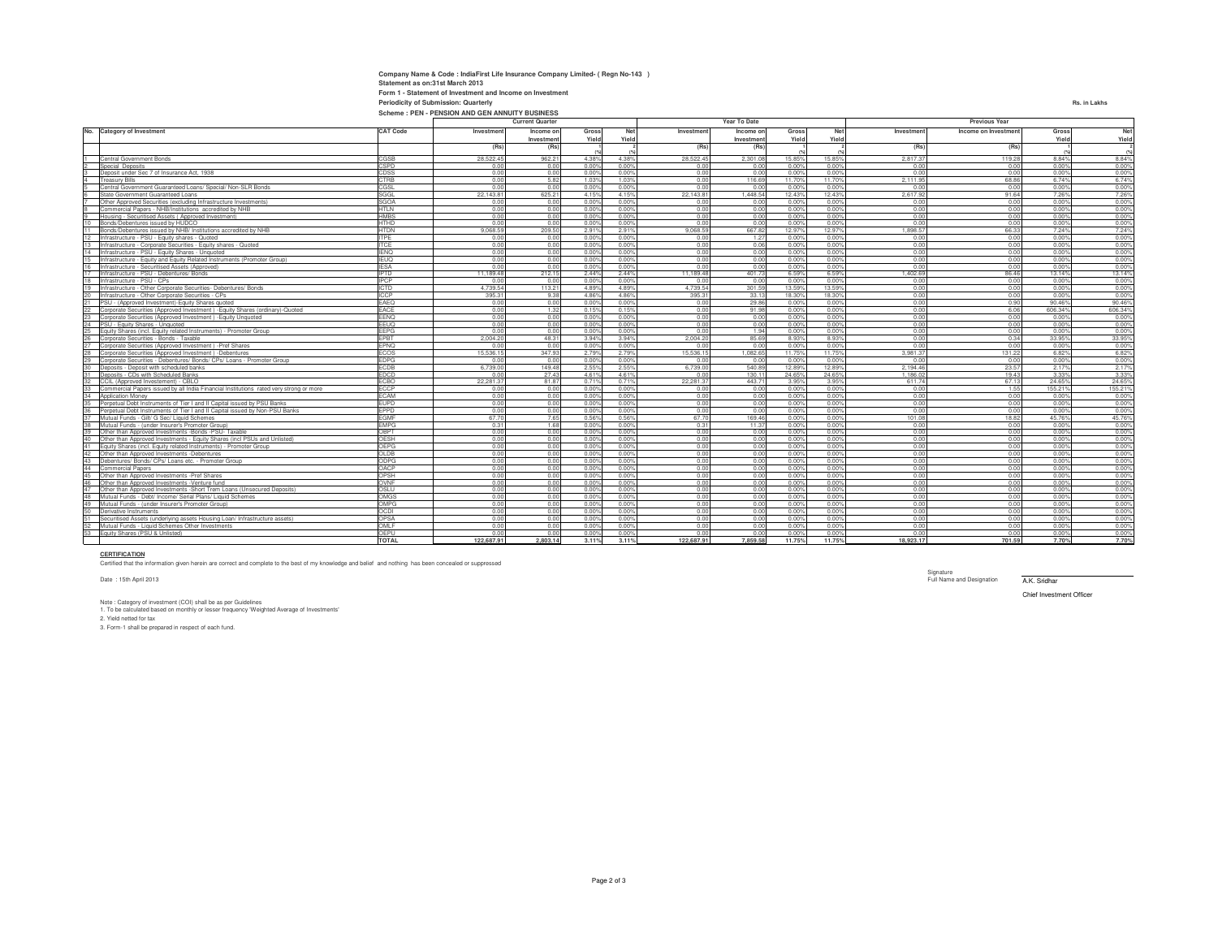**Current Quarter**

**Investment** 

**Company Name & Code : IndiaFirst Life Insurance Company Limited- ( Regn No-143 )**

**Form 1 - Statement of Investment and Income on Investment**

**Statement as on:31st March 2013**

**CAT Code Investment Income on** 

|                 | Central Government Bonds                                                               | CGSB         | 28,522.45  | 962.21   | 4.38% | 4.38% | 28,522.45      | 2,301.08 | 15.85% | 15.85% | 2,817.37  | 119.28 | 8.84%   | 8.84%   |
|-----------------|----------------------------------------------------------------------------------------|--------------|------------|----------|-------|-------|----------------|----------|--------|--------|-----------|--------|---------|---------|
|                 | <b>Special Deposits</b>                                                                | CSPD         | 0.00       | 0.00     | 0.00% | 0.00% | 0.0            | 0.00     | 0.00%  | 0.00%  | 0.00      | 0.00   | 0.00%   | 0.00%   |
|                 | Denosit under Sec 7 of Insurance Act. 1938                                             | CDSS         | 0.00       | 0.00     | 0.00% | 0.00% | 0.00           | 0.00     | 0.00%  | 0.00%  | 0.00      | 0.00   | 0.00%   | 0.00%   |
|                 | reasury Bills                                                                          | <b>CTRB</b>  | 0.00       | 5.82     | 1.03% | 1.03% | 0.00           | 116.69   | 11.70% | 11.70% | 2 111 95  | 68.86  | 6.74%   | 6.74%   |
|                 | Central Government Guaranteed Loans/ Special/ Non-SLR Bonds                            | CGSL         | 0.00       | 0.00     | 0.00% | 0.00% | 0.00           | 0.00     | 0.00%  | 0.00%  | 0.00      | 0.00   | 0.00%   | 0.00%   |
|                 | State Government Guaranteed Loans                                                      | SGGL         | 22.143.81  | 625.21   | 4.15% | 4.15% | 22.143.8       | 1.448.54 | 12.43% | 12.43% | 2.617.92  | 91.64  | 7.26%   | 7.26%   |
|                 | Other Approved Securities (excluding Infrastructure Investments)                       | <b>SGOA</b>  | 0.00       | 0.00     | 0.00% | 0.00% | 0.00           | 0.00     | 0.00%  | 0.00%  | 0.00      | 0.00   | 0.00%   | 0.00%   |
|                 | Commercial Papers - NHB/Institutions accredited by NHB                                 | <b>HTLN</b>  | 0.00       | 0.00     | 0.00% | 0.00% | 0.00           | 0.00     | 0.00%  | 0.00%  | 0.00      | 0.00   | 0.00%   | 0.00%   |
|                 | Housing - Securitised Assets (Approved Investment)                                     | <b>HMBS</b>  | 0.00       | 0.00     | 0.00% | 0.00% | 0.00           | 0.00     | 0.00%  | 0.00%  | 0.00      | 0.00   | 0.00%   | 0.00%   |
| 10              | Bonds/Debentures issued by HUDCO                                                       | <b>HTHD</b>  | 0.00       | 0.00     | 0.00% | 0.00% | 0.00           | 0.00     | 0.00%  | 0.00%  | 0.00      | 0.00   | 0.00%   | 0.00%   |
|                 | Bonds/Debentures issued by NHB/ Institutions accredited by NHB                         | <b>HTDN</b>  | 9.068.59   | 209.50   | 2.91% | 2.91% | 9.068.5        | 667.82   | 12.97% | 12.97% | .898.5    | 66.33  | 7.24%   | 7.24%   |
| 12              | nfrastructure - PSU - Equity shares - Quoted                                           | <b>ITPE</b>  | 0.00       | 0.00     | 0.00% | 0.00% | 0.0            | 1.27     | 0.00%  | 0.00%  | 0.00      | 0.00   | 0.00%   | 0.00%   |
| 13              | Infrastructure - Corporate Securities - Equity shares - Quoted                         | <b>ITCE</b>  | 0.00       | 0.00     | 0.00% | 0.00% | 0.00           | 0.06     | 0.00%  | 0.00%  | 0.00      | 0.00   | 0.00%   | 0.00%   |
| 14              | Infrastructure - PSU - Equity Shares - Unquoted                                        | <b>IENO</b>  | 0.00       | 0.00     | 0.00% | 0.00% | 0.00           | 0.00     | 0.00%  | 0.00%  | 0.00      | 0.00   | 0.00%   | 0.00%   |
|                 | Infrastructure - Equity and Equity Related Instruments (Promoter Group)                | <b>IEUQ</b>  | 0.00       | 0.00     | 0.00% | 0.00% | 0.00           | 0.00     | 0.00%  | 0.00%  | 0.00      | 0.00   | 0.00%   | 0.00%   |
|                 | Infrastructure - Securitised Assets (Approved)                                         | <b>IESA</b>  | 0.00       | 0.00     | 0.00% | 0.00% | 0.0            | 0.00     | 0.00%  | 0.00%  | 0.00      | 0.00   | 0.00%   | 0.00%   |
| 17              | Infrastructure - PSU - Debentures/ Bonds                                               | <b>IPTD</b>  | 11.189.48  | 212.15   | 2.44% | 2.44% | 11.189.4       | 401.73   | 6.59%  | 6.59%  | 1.402.69  | 86.46  | 13.14%  | 13.14%  |
| 18              | Infrastructure - PSU - CPs                                                             | <b>IPCP</b>  | 0.00       | 0.00     | 0.00% | 0.00% | 0 <sub>0</sub> | 0.00     | 0.00%  | 0.00%  | 0.00      | 0.00   | 0.00%   | 0.00%   |
| 19              | Infrastructure - Other Corporate Securities- Debentures/ Bonds                         | <b>ICTD</b>  | 4.739.54   | 113.21   | 4.89% | 4.89% | 4.739.5        | 301.59   | 13.59% | 13.59% | 0.00      | 0.00   | 0.00%   | 0.00%   |
| 20              | Infrastructure - Other Corporate Securities - CPs                                      | <b>ICCP</b>  | 395.31     | 9.38     | 4.86% | 4.86% | 395.31         | 33.13    | 18.30% | 18.30% | 0.00      | 0.00   | 0.00%   | 0.00%   |
| 21              | PSU - (Approved Investment)-Equity Shares quoted                                       | EAEQ         | 0.00       | 0.00     | 0.00% | 0.00% | 0.00           | 29.86    | 0.00%  | 0.00%  | 0.00      | 0.90   | 90.46%  | 90.46%  |
| 22              | Corporate Securities (Approved Investment) - Equity Shares (ordinary)-Quoted           | EACE         | 0.00       | 1.32     | 0.15% | 0.15% | 0.00           | 91.98    | 0.00%  | 0.00%  | 0.00      | 6.06   | 606.34% | 606.34% |
| 23              | Corporate Securities (Approved Investment) - Equity Unquoted                           | <b>FFNO</b>  | 0.00       | 0.00     | 0.00% | 0.00% | 0.00           | 0.00     | 0.00%  | 0.00%  | 0.00      | 0.00   | 0.00%   | 0.00%   |
| 24              | PSU - Equity Shares - Unquoted                                                         | <b>FFUO</b>  | 0.00       | 0.00     | 0.00% | 0.00% | 0 <sup>0</sup> | 0.00     | 0.00%  | 0.00%  | 0.00      | 0.00   | 0.00%   | 0.00%   |
| 25              | Equity Shares (incl. Equity related Instruments) - Promoter Group                      | <b>FFPG</b>  | 0.00       | 0.00     | 0.00% | 0.00% | 0.00           | 1.94     | 0.00%  | 0.00%  | 0.00      | 0.00   | 0.00%   | 0.00%   |
| 26              | Corporate Securities - Bonds - Taxable                                                 | EPBT         | 2.004.20   | 48.31    | 3.94% | 3.94% | 2.004.2        | 85.69    | 8.93%  | 8.93%  | 0.00      | 0.34   | 33.95%  | 33.95%  |
| 27              | Corporate Securities (Approved Investment) -Pref Shares                                | EPNQ         | 0.00       | 0.00     | 0.00% | 0.00% | n <sub>n</sub> | 0.00     | 0.00%  | 0.00%  | 0.0       | 0.00   | 0.00%   | 0.00%   |
|                 | Corporate Securities (Approved Investment) -Debentures                                 | <b>ECOS</b>  | 15 536 15  | 347.93   | 2.79% | 2.79% | 15 536 1       | 1.082.65 | 11 75% | 11 75% | 3.981.37  | 131.22 | 6.82%   | 6.82%   |
| 28<br>29        | Corporate Securities - Debentures/ Bonds/ CPs/ Loans - Promoter Group                  | <b>EDPG</b>  | 0.00       | 0.00     | 0.00% | 0.00% | 0 <sup>0</sup> | 0.00     | 0.00%  | 0.00%  | 0.00      | 0.00   | 0.00%   | 0.00%   |
| 30              | Deposits - Deposit with scheduled banks                                                | ECDB         | 6,739.00   | 149.48   | 2.55% | 2.55% | 6,739.0        | 540.89   | 12.89% | 12.89% | 2.194.46  | 23.57  | 2.17%   | 2.17%   |
| 31              | Deposits - CDs with Scheduled Banks                                                    | EDCD         | 0.00       | 27.43    | 4.61% | 4.61% | 0.0            | 130.11   | 24.65% | 24.65% | 1.186.02  | 19.43  | 3.33%   | 3.33%   |
| 32              | CCIL (Approved Investement) - CBLO                                                     | ECBO         | 22.281.37  | 81.87    | 0.71% | 0.71% | 22.281.3       | 443.71   | 3.95%  | 3.95%  | 611.74    | 67.13  | 24.65%  | 24.65%  |
|                 | Commercial Papers issued by all India Financial Institutions rated very strong or more | <b>ECCP</b>  | 0.00       | 0.00     | 0.00% | 0.00% | 0.00           | 0.00     | 0.00%  | 0.00%  | 0.00      | 1.55   | 155.21% | 155.21% |
| 33<br>34<br>35  | <b>Annlication Money</b>                                                               | <b>FCAM</b>  | 0.00       | 0.00     | 0.00% | 0.00% | 0.00           | 0.00     | 0.00%  | 0.00%  | 0.00      | 0.00   | 0.00%   | 0.00%   |
|                 | Perpetual Debt Instruments of Tier I and II Capital issued by PSU Banks                | <b>EUPD</b>  | 0.00       | 0.00     | 0.00% | 0.00% | 0.00           | 0.00     | 0.00%  | 0.00%  | 0.00      | 0.00   | 0.00%   | 0.00%   |
|                 | Perpetual Debt Instruments of Tier I and II Capital issued by Non-PSU Banks            | EPPD         | 0.00       | 0.00     | 0.00% | 0.00% | 0.00           | 0.00     | 0.00%  | 0.00%  | 0.00      | 0.00   | 0.00%   | 0.00%   |
|                 | Mutual Funds - Gilt/ G Sec/ Liquid Schemes                                             | <b>EGMF</b>  | 67.70      | 7.65     | 0.56% | 0.56% | 67.70          | 169.46   | 0.00%  | 0.00%  | 101.08    | 18.82  | 45.76%  | 45.76%  |
| 38              | Mutual Funds - (under Insurer's Promoter Group)                                        | <b>FMPG</b>  | 0.31       | 1.68     | 0.00% | 0.00% | 0.31           | 11.37    | 0.00%  | 0.00%  | 0.00      | 0.00   | 0.00%   | 0.00%   |
| 39              | Other than Approved Investments -Bonds -PSU- Taxable                                   | OBPT         | 0.00       | 0.00     | 0.00% | 0.00% | 0.00           | 0.00     | 0.00%  | 0.00%  | 0.00      | 0.00   | 0.00%   | 0.00%   |
| 40              | Other than Approved Investments - Equity Shares (incl PSUs and Unlisted)               | OESH         | 0.00       | 0.00     | 0.00% | 0.00% | 0.00           | 0.00     | 0.00%  | 0.00%  | 0.00      | 0.00   | 0.00%   | 0.00%   |
|                 | Equity Shares (incl. Equity related Instruments) - Promoter Group                      | OEPG         | 0.00       | 0.00     | 0.00% | 0.00% | 0.00           | 0.00     | 0.00%  | 0.00%  | 0.00      | 0.00   | 0.00%   | 0.00%   |
| 42              | Other than Approved Investments -Debentures                                            | <b>OLDB</b>  | 0.00       | 0.00     | 0.00% | 0.00% | 0.00           | 0.00     | 0.00%  | 0.00%  | 0.00      | 0.00   | 0.00%   | 0.00%   |
| $\frac{1}{43}$  | Debentures/ Bonds/ CPs/ Loans etc. - Promoter Group                                    | ODPG         | 0.00       | 0.00     | 0.00% | 0.00% | 0.00           | 0.00     | 0.00%  | 0.00%  | 0.00      | 0.00   | 0.00%   | 0.00%   |
|                 | Commercial Papers                                                                      | OACP         | 0.00       | 0.00     | 0.00% | 0.00% | 0.00           | 0.00     | 0.00%  | 0.00%  | 0.00      | 0.00   | 0.00%   | 0.00%   |
| 44<br>45        | Other than Approved Investments -Pref Shares                                           | OPSH         | 0.00       | 0.00     | 0.00% | 0.00% | 0.00           | 0.00     | 0.00%  | 0.00%  | 0.00      | 0.00   | 0.00%   | 0.00%   |
| 46              | Other than Approved Investments -Venture fund                                          | OVNF         | 0.00       | 0.00     | 0.00% | 0.00% | 0.00           | 0.00     | 0.00%  | 0.00%  | 0.00      | 0.00   | 0.00%   | 0.00%   |
|                 | Other than Approved Investments -Short Trem Loans (Unsecured Deposits)                 | OSLU         | 0.00       | 0.00     | 0.00% | 0.00% | 0.00           | 0.00     | 0.00%  | 0.00%  | 0.00      | 0.00   | 0.00%   | 0.00%   |
| 48              | Mutual Funds - Debt/ Income/ Serial Plans/ Liquid Schemes                              | OMGS         | 0.00       | 0.00     | 0.00% | 0.00% | 0.00           | 0.00     | 0.00%  | 0.00%  | 0.00      | 0.00   | 0.00%   | 0.00%   |
| $\frac{18}{49}$ | Mutual Funds - (under Insurer's Promoter Group)                                        | OMPG         | 0.00       | 0.00     | 0.00% | 0.00% | 0.00           | 0.00     | 0.00%  | 0.00%  | 0.00      | 0.00   | 0.00%   | 0.00%   |
| 50              | Derivative Instruments                                                                 | <b>OCDI</b>  | 0.00       | 0.00     | 0.00% | 0.00% | 0.00           | 0.00     | 0.00%  | 0.00%  | 0.00      | 0.00   | 0.00%   | 0.00%   |
|                 | Securitised Assets (underlying assets Housing Loan/ Infrastructure assets)             | <b>OPSA</b>  | 0.00       | 0.00     | 0.00% | 0.00% | 0.00           | 0.00     | 0.00%  | 0.00%  | 0.00      | 0.00   | 0.00%   | 0.00%   |
| 52              | Mutual Funds - Liquid Schemes Other Investments                                        | OMLF         | 0.00       | 0.00     | 0.00% | 0.00% | 0.0            | 0.00     | 0.00%  | 0.00%  | 0.00      | 0.00   | 0.00%   | 0.00%   |
| 53              | Equity Shares (PSU & Unlisted)                                                         | OFPU         | 0.00       | 0.00     | 0.00% | 0.00% | 0.00           | 0.00     | 0.00%  | 0.00%  | 0.00      | 0.00   | 0.00%   | 0.00%   |
|                 |                                                                                        | <b>TOTAL</b> | 122,687.91 | 2.803.14 | 3.11% | 3.11% | 122,687.91     | 7,859,58 | 11.75% | 11.75% | 18,923.17 | 701.59 | 7.70%   | 7.70%   |
|                 |                                                                                        |              |            |          |       |       |                |          |        |        |           |        |         |         |

**Gross Yield**

 **(%)** 

**Net Yiel** 

 **(%)** 

ent Quarter Year To Date<br> **Income on** Gross Net Investment Income

**Investment Income on** 

**(Rs) (Rs)**

**Investment**

**Gross Yield**

 **<sup>1</sup> (%)**  **Net Yield**

 **(%)** 

**Investment**<br> **Income on Invest** 

**Previous Yea** 

**(Rs) (Rs)**

**CERTIFICATION** Certified that the information given herein are correct and complete to the best of my knowledge and belief and nothing has been concealed or suppressed

Date : 15th April 2013

**No. Category of Investment**

Note : Category of investment (COI) shall be as per Guidelines 1. To be calculated based on monthly or lesser frequency 'Weighted Average of Investments' 2. Yield netted for tax

3. Form-1 shall be prepared in respect of each fund.

Chief Investment Officer

**Periodicity of Submission: Quarterly Rs. in Lakhs Scheme : PEN - PENSION AND GEN ANNUITY BUSINESS**

**Net Yield2 (%)** 

**Gros**<br>**Yiel** 

 **<sup>1</sup> (%)** 

Full Name and Designation A.K. Sridhar

Signature